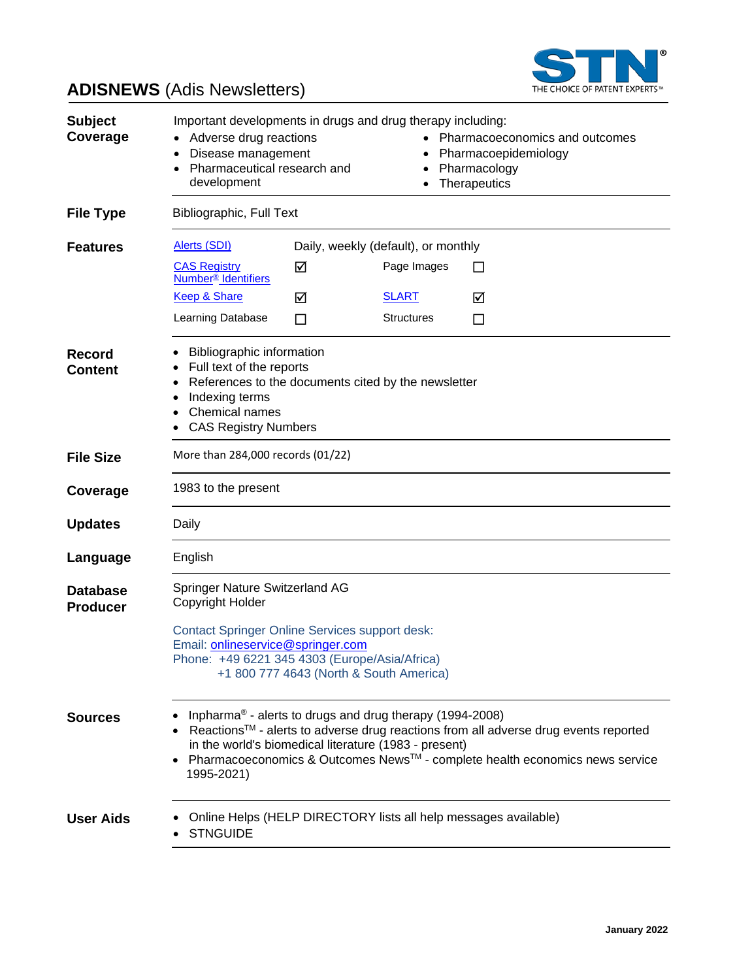

# **ADISNEWS** (Adis Newsletters)

| <b>Subject</b><br>Coverage         | Important developments in drugs and drug therapy including:<br>Adverse drug reactions<br>Pharmacoeconomics and outcomes<br>Disease management<br>Pharmacoepidemiology<br>Pharmaceutical research and<br>Pharmacology<br>development<br>Therapeutics                                                               |        |                                                    |                                                                 |
|------------------------------------|-------------------------------------------------------------------------------------------------------------------------------------------------------------------------------------------------------------------------------------------------------------------------------------------------------------------|--------|----------------------------------------------------|-----------------------------------------------------------------|
| <b>File Type</b>                   | <b>Bibliographic, Full Text</b>                                                                                                                                                                                                                                                                                   |        |                                                    |                                                                 |
| <b>Features</b>                    | Alerts (SDI)<br><b>CAS Registry</b><br><b>Number<sup>®</sup></b> Identifiers                                                                                                                                                                                                                                      | ☑      | Daily, weekly (default), or monthly<br>Page Images | ΙI                                                              |
|                                    | <b>Keep &amp; Share</b><br>Learning Database                                                                                                                                                                                                                                                                      | ☑<br>ப | <u>SLART</u><br><b>Structures</b>                  | ☑<br>⊔                                                          |
| <b>Record</b><br><b>Content</b>    | <b>Bibliographic information</b><br>Full text of the reports<br>References to the documents cited by the newsletter<br>Indexing terms<br>Chemical names<br><b>CAS Registry Numbers</b>                                                                                                                            |        |                                                    |                                                                 |
| <b>File Size</b>                   | More than 284,000 records (01/22)                                                                                                                                                                                                                                                                                 |        |                                                    |                                                                 |
| Coverage                           | 1983 to the present                                                                                                                                                                                                                                                                                               |        |                                                    |                                                                 |
| <b>Updates</b>                     | Daily                                                                                                                                                                                                                                                                                                             |        |                                                    |                                                                 |
| Language                           | English                                                                                                                                                                                                                                                                                                           |        |                                                    |                                                                 |
| <b>Database</b><br><b>Producer</b> | Springer Nature Switzerland AG<br>Copyright Holder<br><b>Contact Springer Online Services support desk:</b><br>Email: onlineservice@springer.com<br>Phone: +49 6221 345 4303 (Europe/Asia/Africa)<br>+1 800 777 4643 (North & South America)                                                                      |        |                                                    |                                                                 |
|                                    |                                                                                                                                                                                                                                                                                                                   |        |                                                    |                                                                 |
| <b>Sources</b>                     | Inpharma® - alerts to drugs and drug therapy (1994-2008)<br>Reactions™ - alerts to adverse drug reactions from all adverse drug events reported<br>in the world's biomedical literature (1983 - present)<br>Pharmacoeconomics & Outcomes News <sup>™</sup> - complete health economics news service<br>1995-2021) |        |                                                    |                                                                 |
| <b>User Aids</b>                   | <b>STNGUIDE</b>                                                                                                                                                                                                                                                                                                   |        |                                                    | Online Helps (HELP DIRECTORY lists all help messages available) |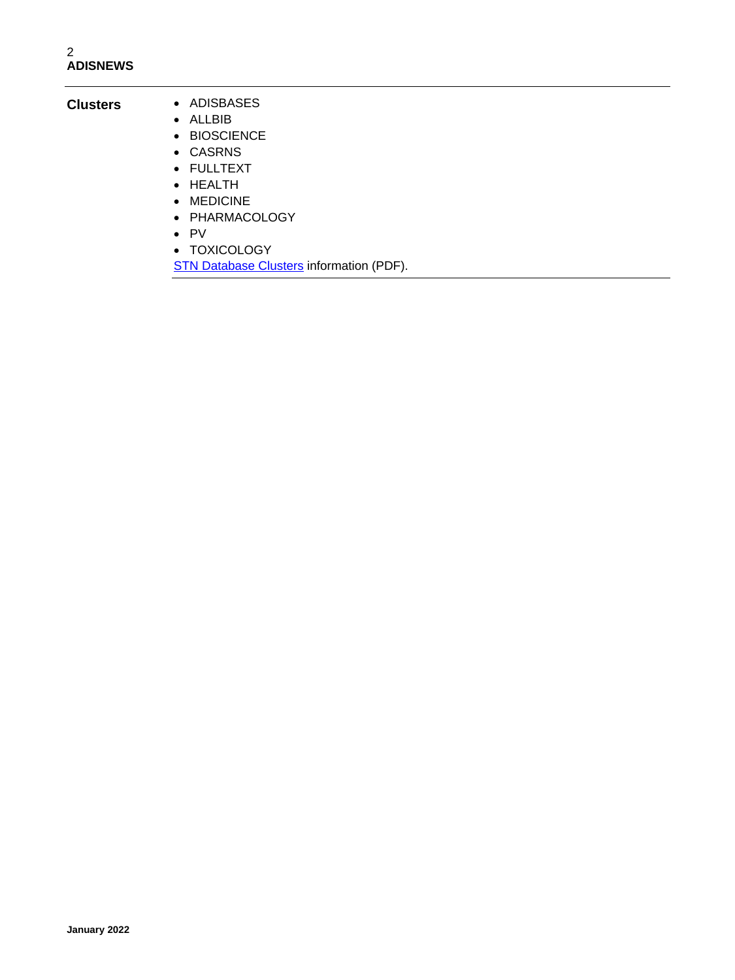### **Clusters** • ADISBASES

- ALLBIB
	- BIOSCIENCE
	- CASRNS
	- FULLTEXT
	- HEALTH
	- MEDICINE
	- PHARMACOLOGY
	- PV
	- TOXICOLOGY
	- [STN Database Clusters](https://www.cas.org/support/training/stn/database-clusters) information (PDF).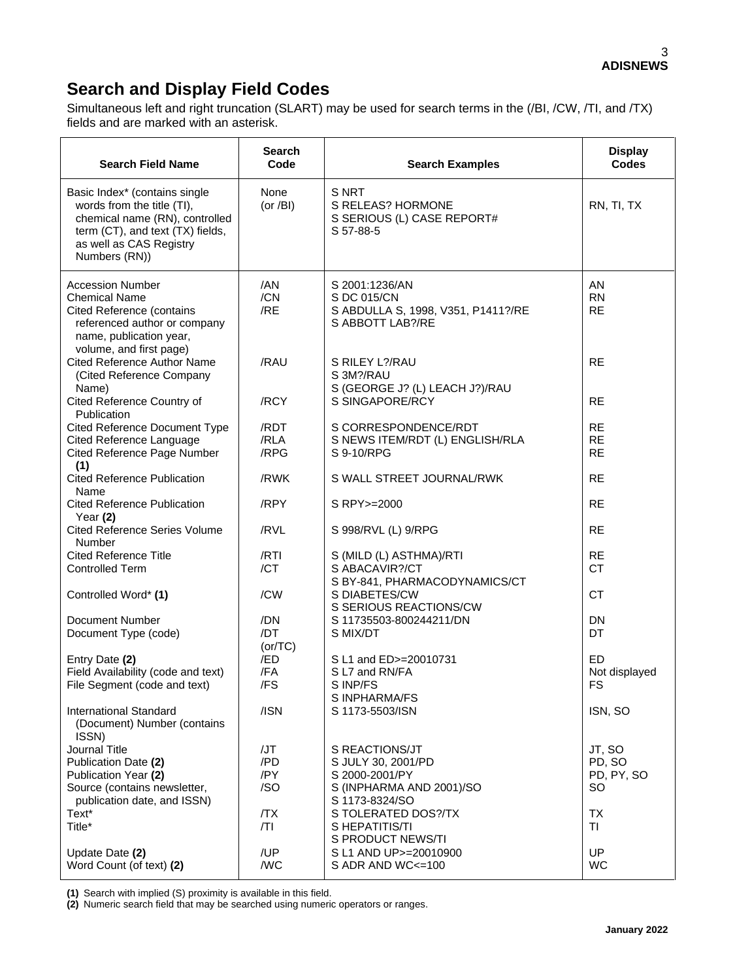## **Search and Display Field Codes**

Simultaneous left and right truncation (SLART) may be used for search terms in the (/BI, /CW, /TI, and /TX) fields and are marked with an asterisk.

| <b>Search Field Name</b>                                                                                                                                                      | <b>Search</b><br>Code    | <b>Search Examples</b>                                                                  | <b>Display</b><br><b>Codes</b>       |
|-------------------------------------------------------------------------------------------------------------------------------------------------------------------------------|--------------------------|-----------------------------------------------------------------------------------------|--------------------------------------|
| Basic Index* (contains single<br>words from the title (TI),<br>chemical name (RN), controlled<br>term (CT), and text (TX) fields,<br>as well as CAS Registry<br>Numbers (RN)) | None<br>(or $/Bl$ )      | S NRT<br>S RELEAS? HORMONE<br>S SERIOUS (L) CASE REPORT#<br>S 57-88-5                   | RN, TI, TX                           |
| <b>Accession Number</b><br><b>Chemical Name</b><br><b>Cited Reference (contains</b><br>referenced author or company<br>name, publication year,<br>volume, and first page)     | /AN<br>/CN<br>/RE        | S 2001:1236/AN<br>S DC 015/CN<br>S ABDULLA S, 1998, V351, P1411?/RE<br>S ABBOTT LAB?/RE | AN<br><b>RN</b><br><b>RE</b>         |
| <b>Cited Reference Author Name</b><br>(Cited Reference Company<br>Name)                                                                                                       | /RAU<br>/RCY             | S RILEY L?/RAU<br>S 3M?/RAU<br>S (GEORGE J? (L) LEACH J?)/RAU<br>S SINGAPORE/RCY        | <b>RE</b><br><b>RE</b>               |
| Cited Reference Country of<br>Publication<br>Cited Reference Document Type                                                                                                    | /RDT                     | S CORRESPONDENCE/RDT                                                                    | <b>RE</b>                            |
| <b>Cited Reference Language</b><br>Cited Reference Page Number<br>(1)                                                                                                         | /RLA<br>/RPG             | S NEWS ITEM/RDT (L) ENGLISH/RLA<br>S 9-10/RPG                                           | <b>RE</b><br><b>RE</b>               |
| <b>Cited Reference Publication</b><br>Name                                                                                                                                    | /RWK                     | S WALL STREET JOURNAL/RWK                                                               | <b>RE</b>                            |
| <b>Cited Reference Publication</b><br>Year $(2)$                                                                                                                              | /RPY                     | S RPY>=2000                                                                             | <b>RE</b>                            |
| <b>Cited Reference Series Volume</b><br>Number                                                                                                                                | /RVL                     | S 998/RVL (L) 9/RPG                                                                     | <b>RE</b>                            |
| <b>Cited Reference Title</b><br><b>Controlled Term</b>                                                                                                                        | /RTI<br>/CT              | S (MILD (L) ASTHMA)/RTI<br>S ABACAVIR?/CT<br>S BY-841, PHARMACODYNAMICS/CT              | <b>RE</b><br><b>CT</b>               |
| Controlled Word* (1)                                                                                                                                                          | /CW                      | S DIABETES/CW<br>S SERIOUS REACTIONS/CW                                                 | <b>CT</b>                            |
| Document Number<br>Document Type (code)                                                                                                                                       | /DN<br>/DT<br>(or/TC)    | S 11735503-800244211/DN<br>S MIX/DT                                                     | <b>DN</b><br>DT                      |
| Entry Date (2)<br>Field Availability (code and text)<br>File Segment (code and text)                                                                                          | /ED<br>/FA<br>/FS        | S L1 and ED>=20010731<br>S L7 and RN/FA<br>S INP/FS<br>S INPHARMA/FS                    | ED.<br>Not displayed<br><b>FS</b>    |
| <b>International Standard</b><br>(Document) Number (contains<br>ISSN)                                                                                                         | /ISN                     | S 1173-5503/ISN                                                                         | ISN, SO                              |
| Journal Title<br>Publication Date (2)<br>Publication Year (2)<br>Source (contains newsletter,                                                                                 | /JT<br>/PD<br>/PY<br>/SO | S REACTIONS/JT<br>S JULY 30, 2001/PD<br>S 2000-2001/PY<br>S (INPHARMA AND 2001)/SO      | JT, SO<br>PD, SO<br>PD, PY, SO<br>SO |
| publication date, and ISSN)<br>Text*<br>Title*                                                                                                                                | /TX<br> T                | S 1173-8324/SO<br>S TOLERATED DOS?/TX<br>S HEPATITIS/TI<br>S PRODUCT NEWS/TI            | <b>TX</b><br><b>TI</b>               |
| Update Date (2)<br>Word Count (of text) (2)                                                                                                                                   | /UP<br>/WC               | S L1 AND UP>=20010900<br>S ADR AND WC<=100                                              | UP<br><b>WC</b>                      |

**(1)** Search with implied (S) proximity is available in this field.

**(2)** Numeric search field that may be searched using numeric operators or ranges.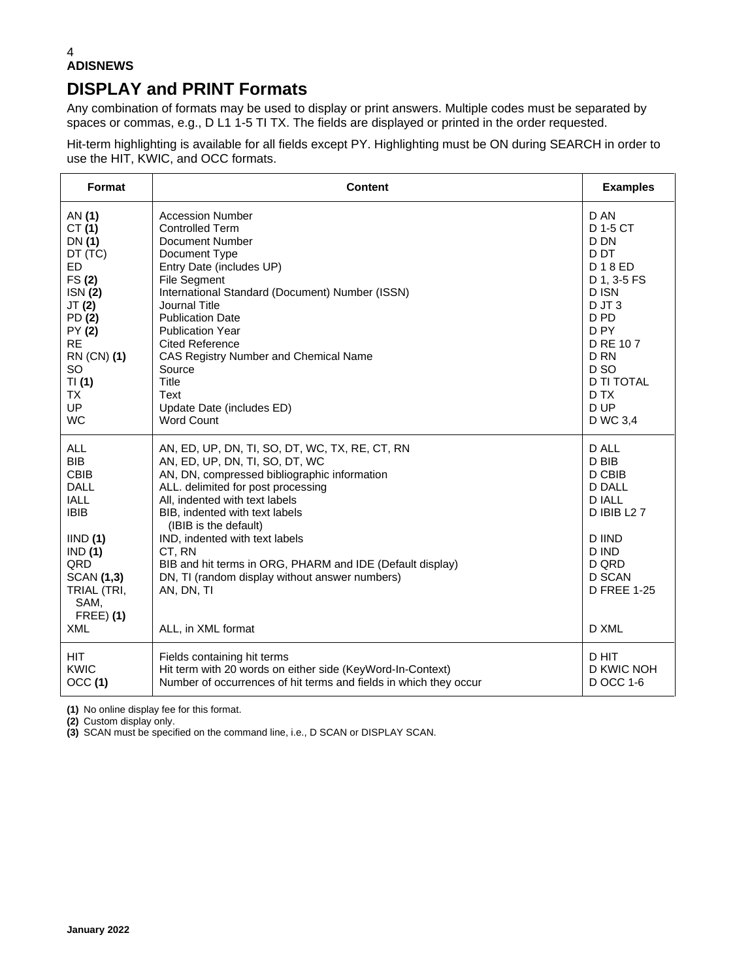#### 4 **ADISNEWS**

### **DISPLAY and PRINT Formats**

Any combination of formats may be used to display or print answers. Multiple codes must be separated by spaces or commas, e.g., D L1 1-5 TI TX. The fields are displayed or printed in the order requested.

Hit-term highlighting is available for all fields except PY. Highlighting must be ON during SEARCH in order to use the HIT, KWIC, and OCC formats.

| Format                                                                                                                                                                                          | <b>Content</b>                                                                                                                                                                                                                                                                                                                                                                                                                                                     | <b>Examples</b>                                                                                                                                                    |
|-------------------------------------------------------------------------------------------------------------------------------------------------------------------------------------------------|--------------------------------------------------------------------------------------------------------------------------------------------------------------------------------------------------------------------------------------------------------------------------------------------------------------------------------------------------------------------------------------------------------------------------------------------------------------------|--------------------------------------------------------------------------------------------------------------------------------------------------------------------|
| AN (1)                                                                                                                                                                                          | <b>Accession Number</b>                                                                                                                                                                                                                                                                                                                                                                                                                                            | D AN                                                                                                                                                               |
| CT $(1)$                                                                                                                                                                                        | <b>Controlled Term</b>                                                                                                                                                                                                                                                                                                                                                                                                                                             | D 1-5 CT                                                                                                                                                           |
| DN (1)                                                                                                                                                                                          | <b>Document Number</b>                                                                                                                                                                                                                                                                                                                                                                                                                                             | D DN                                                                                                                                                               |
| DT (TC)                                                                                                                                                                                         | Document Type                                                                                                                                                                                                                                                                                                                                                                                                                                                      | D <sub>D</sub> T                                                                                                                                                   |
| <b>ED</b>                                                                                                                                                                                       | Entry Date (includes UP)                                                                                                                                                                                                                                                                                                                                                                                                                                           | D 1 8 ED                                                                                                                                                           |
| FS(2)                                                                                                                                                                                           | File Segment                                                                                                                                                                                                                                                                                                                                                                                                                                                       | D 1, 3-5 FS                                                                                                                                                        |
| ISN(2)                                                                                                                                                                                          | International Standard (Document) Number (ISSN)                                                                                                                                                                                                                                                                                                                                                                                                                    | D ISN                                                                                                                                                              |
| JT (2)                                                                                                                                                                                          | Journal Title                                                                                                                                                                                                                                                                                                                                                                                                                                                      | $D$ JT $3$                                                                                                                                                         |
| PD (2)                                                                                                                                                                                          | <b>Publication Date</b>                                                                                                                                                                                                                                                                                                                                                                                                                                            | D PD                                                                                                                                                               |
| PY (2)                                                                                                                                                                                          | <b>Publication Year</b>                                                                                                                                                                                                                                                                                                                                                                                                                                            | D <sub>PY</sub>                                                                                                                                                    |
| <b>RE</b>                                                                                                                                                                                       | <b>Cited Reference</b>                                                                                                                                                                                                                                                                                                                                                                                                                                             | D RE 107                                                                                                                                                           |
| RN (CN) (1)                                                                                                                                                                                     | CAS Registry Number and Chemical Name                                                                                                                                                                                                                                                                                                                                                                                                                              | D <sub>RN</sub>                                                                                                                                                    |
| <b>SO</b>                                                                                                                                                                                       | Source                                                                                                                                                                                                                                                                                                                                                                                                                                                             | D <sub>SO</sub>                                                                                                                                                    |
| TI(1)                                                                                                                                                                                           | <b>Title</b>                                                                                                                                                                                                                                                                                                                                                                                                                                                       | <b>D TI TOTAL</b>                                                                                                                                                  |
| <b>TX</b>                                                                                                                                                                                       | Text                                                                                                                                                                                                                                                                                                                                                                                                                                                               | D TX                                                                                                                                                               |
| UP                                                                                                                                                                                              | Update Date (includes ED)                                                                                                                                                                                                                                                                                                                                                                                                                                          | D UP                                                                                                                                                               |
| <b>WC</b>                                                                                                                                                                                       | <b>Word Count</b>                                                                                                                                                                                                                                                                                                                                                                                                                                                  | D WC 3,4                                                                                                                                                           |
| <b>ALL</b><br><b>BIB</b><br><b>CBIB</b><br><b>DALL</b><br><b>IALL</b><br><b>IBIB</b><br>IIND(1)<br>IND(1)<br>QRD<br><b>SCAN (1,3)</b><br>TRIAL (TRI,<br>SAM,<br><b>FREE</b> ) (1)<br><b>XML</b> | AN, ED, UP, DN, TI, SO, DT, WC, TX, RE, CT, RN<br>AN, ED, UP, DN, TI, SO, DT, WC<br>AN, DN, compressed bibliographic information<br>ALL. delimited for post processing<br>All, indented with text labels<br>BIB, indented with text labels<br>(IBIB is the default)<br>IND, indented with text labels<br>CT, RN<br>BIB and hit terms in ORG, PHARM and IDE (Default display)<br>DN, TI (random display without answer numbers)<br>AN, DN, TI<br>ALL, in XML format | D ALL<br>D BIB<br>D CBIB<br><b>D DALL</b><br><b>D IALL</b><br><b>D IBIB L27</b><br><b>D IIND</b><br>D IND<br>D QRD<br><b>D SCAN</b><br><b>D FREE 1-25</b><br>D XML |
| <b>HIT</b>                                                                                                                                                                                      | Fields containing hit terms                                                                                                                                                                                                                                                                                                                                                                                                                                        | D HIT                                                                                                                                                              |
| <b>KWIC</b>                                                                                                                                                                                     | Hit term with 20 words on either side (KeyWord-In-Context)                                                                                                                                                                                                                                                                                                                                                                                                         | D KWIC NOH                                                                                                                                                         |
| OCC(1)                                                                                                                                                                                          | Number of occurrences of hit terms and fields in which they occur                                                                                                                                                                                                                                                                                                                                                                                                  | D OCC 1-6                                                                                                                                                          |

**(1)** No online display fee for this format.

**(2)** Custom display only.

**(3)** SCAN must be specified on the command line, i.e., D SCAN or DISPLAY SCAN.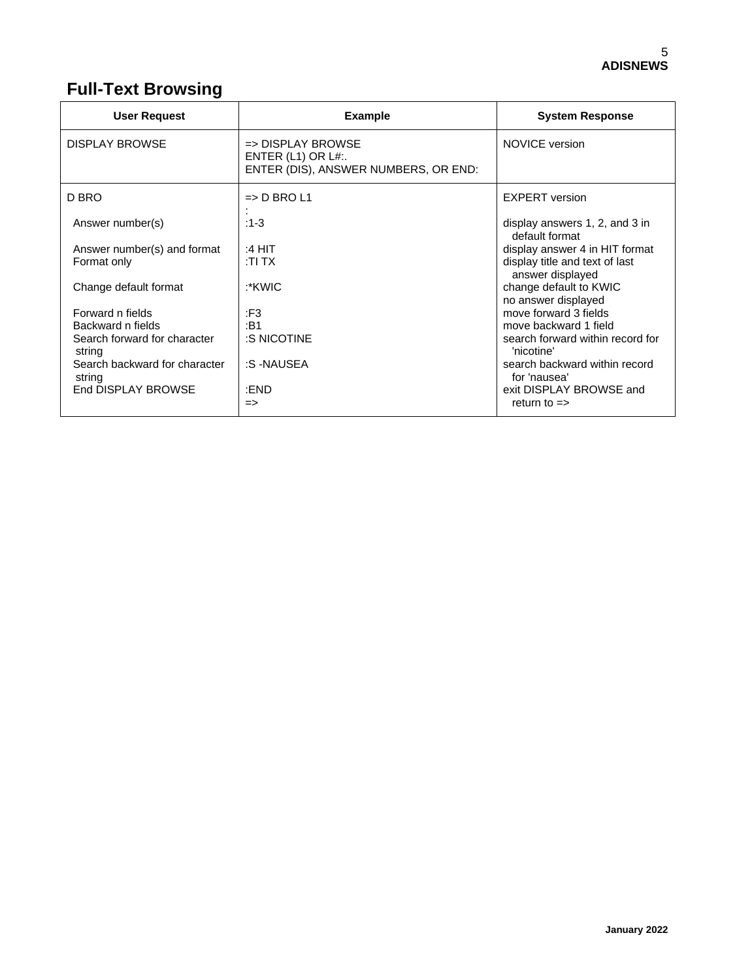# **Full-Text Browsing**

| <b>User Request</b>                     | <b>Example</b>                                                                                 | <b>System Response</b>                             |
|-----------------------------------------|------------------------------------------------------------------------------------------------|----------------------------------------------------|
| <b>DISPLAY BROWSE</b>                   | $\Rightarrow$ DISPLAY BROWSE<br>ENTER $(L1)$ OR $L#$ :<br>ENTER (DIS), ANSWER NUMBERS, OR END: | <b>NOVICE</b> version                              |
| D BRO                                   | $\Rightarrow$ D BRO L1                                                                         | <b>EXPERT</b> version                              |
| Answer number(s)                        | $:1-3$                                                                                         | display answers 1, 2, and 3 in<br>default format   |
| Answer number(s) and format             | :4 HIT                                                                                         | display answer 4 in HIT format                     |
| Format only                             | :TI TX                                                                                         | display title and text of last<br>answer displayed |
| Change default format                   | :*KWIC                                                                                         | change default to KWIC<br>no answer displayed      |
| Forward n fields                        | :F3                                                                                            | move forward 3 fields                              |
| Backward n fields                       | :B1                                                                                            | move backward 1 field                              |
| Search forward for character<br>string  | :S NICOTINE                                                                                    | search forward within record for<br>'nicotine'     |
| Search backward for character<br>string | :S-NAUSEA                                                                                      | search backward within record<br>for 'nausea'      |
| End DISPLAY BROWSE                      | :END                                                                                           | exit DISPLAY BROWSE and                            |
|                                         | $\Rightarrow$                                                                                  | return to $\Rightarrow$                            |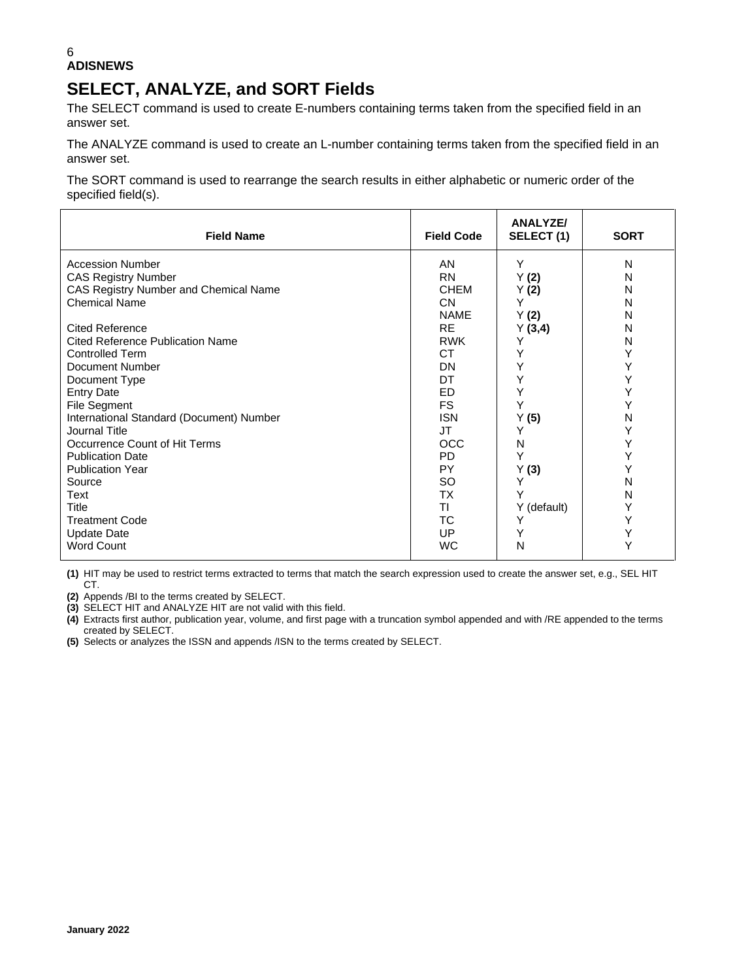#### 6 **ADISNEWS**

### **SELECT, ANALYZE, and SORT Fields**

The SELECT command is used to create E-numbers containing terms taken from the specified field in an answer set.

The ANALYZE command is used to create an L-number containing terms taken from the specified field in an answer set.

The SORT command is used to rearrange the search results in either alphabetic or numeric order of the specified field(s).

| <b>Field Name</b>                        | <b>Field Code</b> | <b>ANALYZE/</b><br>SELECT (1) | <b>SORT</b> |
|------------------------------------------|-------------------|-------------------------------|-------------|
| <b>Accession Number</b>                  | AN                | Y                             | N           |
| <b>CAS Registry Number</b>               | <b>RN</b>         | Y(2)                          | N           |
| CAS Registry Number and Chemical Name    | <b>CHEM</b>       | Y (2)                         | N           |
| <b>Chemical Name</b>                     | CN.               | Y                             | N           |
|                                          | <b>NAME</b>       | Y(2)                          | N           |
| <b>Cited Reference</b>                   | <b>RE</b>         | Y(3,4)                        | N           |
| <b>Cited Reference Publication Name</b>  | <b>RWK</b>        | Υ                             | N           |
| <b>Controlled Term</b>                   | <b>CT</b>         | Υ                             | Y           |
| <b>Document Number</b>                   | DN                | Y                             | Y           |
| Document Type                            | DT                | Υ                             | Y           |
| <b>Entry Date</b>                        | ED                | Υ                             | Y           |
| File Segment                             | <b>FS</b>         | Y                             | Y           |
| International Standard (Document) Number | <b>ISN</b>        | Y(5)                          | N           |
| Journal Title                            | JT                | Y                             | Y           |
| Occurrence Count of Hit Terms            | OCC               | N                             | Y           |
| <b>Publication Date</b>                  | <b>PD</b>         | Y                             | Y           |
| <b>Publication Year</b>                  | PY                | Y(3)                          | Y           |
| Source                                   | SO                | Υ                             | N           |
| Text                                     | ТX                | Υ                             | N           |
| <b>Title</b>                             | ΤI                | Y (default)                   | Y           |
| <b>Treatment Code</b>                    | ТC                | Υ                             | Y           |
| <b>Update Date</b>                       | UP                |                               | Y           |
| <b>Word Count</b>                        | <b>WC</b>         | N                             | Υ           |

**(1)** HIT may be used to restrict terms extracted to terms that match the search expression used to create the answer set, e.g., SEL HIT CT.

**(2)** Appends /BI to the terms created by SELECT.

**(3)** SELECT HIT and ANALYZE HIT are not valid with this field.

**(4)** Extracts first author, publication year, volume, and first page with a truncation symbol appended and with /RE appended to the terms created by SELECT.

**(5)** Selects or analyzes the ISSN and appends /ISN to the terms created by SELECT.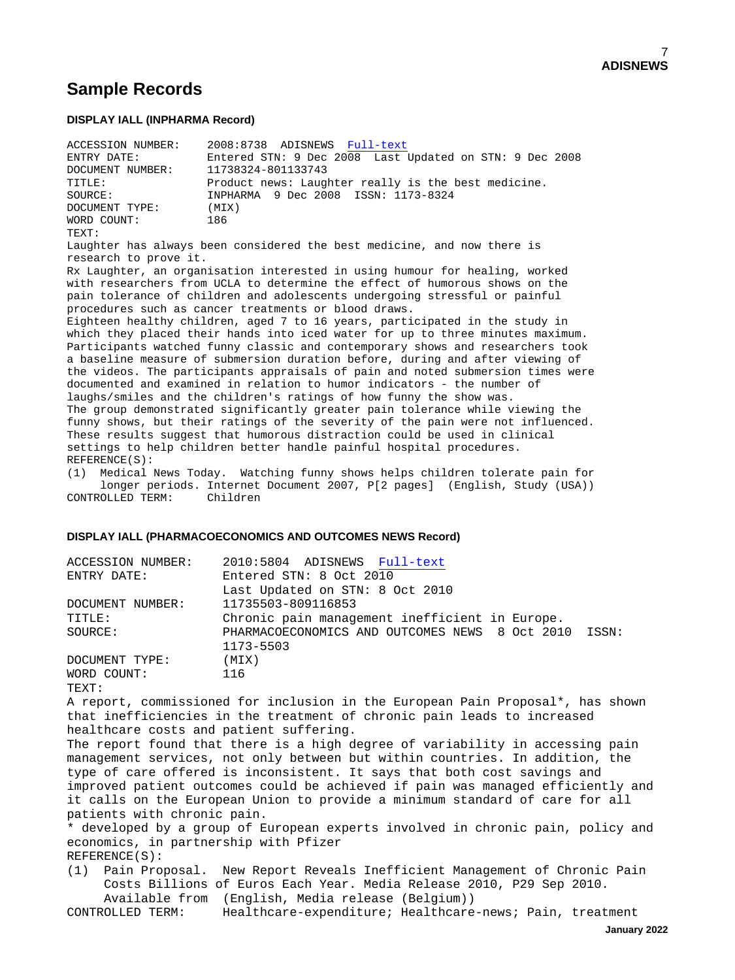### **Sample Records**

#### **DISPLAY IALL (INPHARMA Record)**

| ACCESSION NUMBER: | 2008:8738 ADISNEWS Full-text                                            |
|-------------------|-------------------------------------------------------------------------|
| ENTRY DATE:       | Entered STN: 9 Dec 2008 Last Updated on STN: 9 Dec 2008                 |
| DOCUMENT NUMBER:  | 11738324-801133743                                                      |
| TITLE:            | Product news: Laughter really is the best medicine.                     |
| SOURCE:           | INPHARMA 9 Dec 2008 ISSN: 1173-8324                                     |
| DOCUMENT TYPE:    | (MIX)                                                                   |
| WORD COUNT:       | 186                                                                     |
| TEXT:             |                                                                         |
|                   | Laughter has always been considered the best medicine, and now there is |

research to prove it. Rx Laughter, an organisation interested in using humour for healing, worked

with researchers from UCLA to determine the effect of humorous shows on the pain tolerance of children and adolescents undergoing stressful or painful procedures such as cancer treatments or blood draws.

Eighteen healthy children, aged 7 to 16 years, participated in the study in which they placed their hands into iced water for up to three minutes maximum. Participants watched funny classic and contemporary shows and researchers took a baseline measure of submersion duration before, during and after viewing of the videos. The participants appraisals of pain and noted submersion times were documented and examined in relation to humor indicators - the number of laughs/smiles and the children's ratings of how funny the show was. The group demonstrated significantly greater pain tolerance while viewing the funny shows, but their ratings of the severity of the pain were not influenced. These results suggest that humorous distraction could be used in clinical settings to help children better handle painful hospital procedures. REFERENCE(S):

(1) Medical News Today. Watching funny shows helps children tolerate pain for longer periods. Internet Document 2007, P[2 pages] (English, Study (USA)) CONTROLLED TERM: Children

#### **DISPLAY IALL (PHARMACOECONOMICS AND OUTCOMES NEWS Record)**

| ACCESSION NUMBER: | 2010:5804 ADISNEWS Full-text                         |  |
|-------------------|------------------------------------------------------|--|
| ENTRY DATE:       | Entered STN: 8 Oct 2010                              |  |
|                   | Last Updated on STN: 8 Oct 2010                      |  |
| DOCUMENT NUMBER:  | 11735503-809116853                                   |  |
| TITLE:            | Chronic pain management inefficient in Europe.       |  |
| SOURCE:           | PHARMACOECONOMICS AND OUTCOMES NEWS 8 Oct 2010 ISSN: |  |
|                   | 1173-5503                                            |  |
| DOCUMENT TYPE:    | (MIX)                                                |  |
| WORD COUNT:       | 116                                                  |  |
| TEXT:             |                                                      |  |

A report, commissioned for inclusion in the European Pain Proposal\*, has shown that inefficiencies in the treatment of chronic pain leads to increased healthcare costs and patient suffering.

The report found that there is a high degree of variability in accessing pain management services, not only between but within countries. In addition, the type of care offered is inconsistent. It says that both cost savings and improved patient outcomes could be achieved if pain was managed efficiently and it calls on the European Union to provide a minimum standard of care for all patients with chronic pain.

\* developed by a group of European experts involved in chronic pain, policy and economics, in partnership with Pfizer REFERENCE(S):

(1) Pain Proposal. New Report Reveals Inefficient Management of Chronic Pain Costs Billions of Euros Each Year. Media Release 2010, P29 Sep 2010.

Available from (English, Media release (Belgium))<br>CONTROLLED TERM: Healthcare-expenditure; Healthcare Healthcare-expenditure; Healthcare-news; Pain, treatment